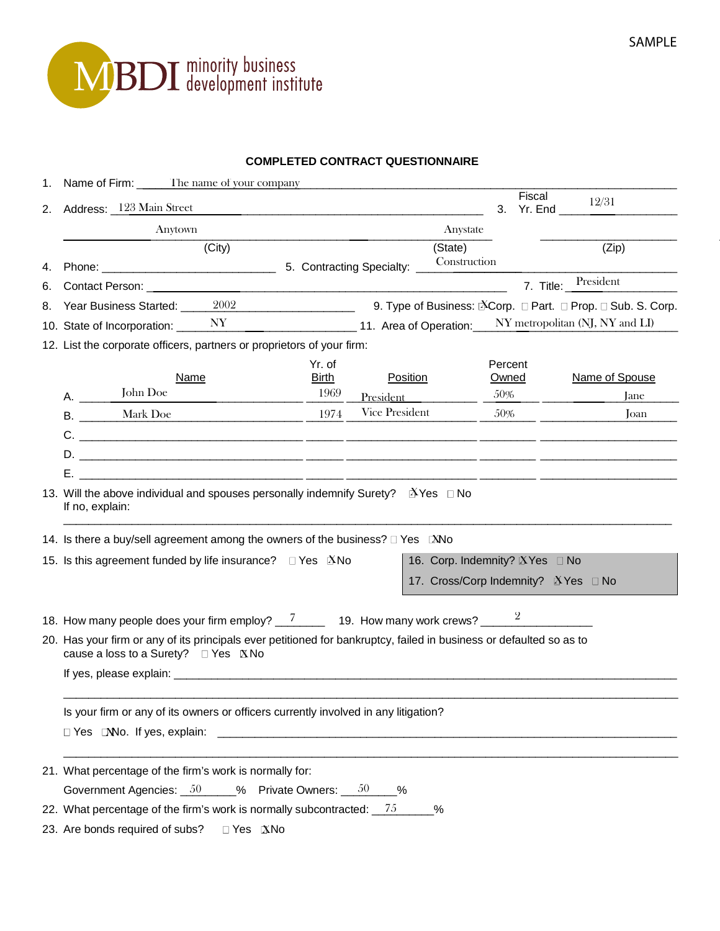

## **COMPLETED CONTRACT QUESTIONNAIRE**

|    | 1. Name of Firm: The name of your company                                                                                                                  |        |                      |                                |                         |                                                              |
|----|------------------------------------------------------------------------------------------------------------------------------------------------------------|--------|----------------------|--------------------------------|-------------------------|--------------------------------------------------------------|
|    | 2. Address: 123 Main Street                                                                                                                                |        |                      |                                | Fiscal<br>3.<br>Yr. End | 12/31                                                        |
|    | Anytown                                                                                                                                                    |        |                      | Anystate                       |                         |                                                              |
|    |                                                                                                                                                            | (City) |                      | (State)                        |                         | (Zip)                                                        |
| 4. |                                                                                                                                                            |        |                      | Construction                   |                         |                                                              |
| 6. |                                                                                                                                                            |        |                      |                                |                         | 7. Title: President                                          |
| 8. | Year Business Started: 2002                                                                                                                                |        |                      |                                |                         | 9. Type of Business: Nacorp. □ Part. □ Prop. □ Sub. S. Corp. |
|    | 10. State of Incorporation: $NY$                                                                                                                           |        |                      | 11. Area of Operation:         |                         | NY metropolitan (NJ, NY and LI)                              |
|    | 12. List the corporate officers, partners or proprietors of your firm:                                                                                     |        |                      |                                |                         |                                                              |
|    |                                                                                                                                                            |        | Yr. of               |                                | Percent                 |                                                              |
| А. | Name<br>John Doe                                                                                                                                           |        | <b>Birth</b><br>1969 | Position<br>President          | Owned<br>50%            | Name of Spouse<br>Jane                                       |
|    | <b>B.</b> Mark Doe                                                                                                                                         |        | 1974                 | Vice President                 | 50%                     | Joan                                                         |
|    |                                                                                                                                                            |        |                      |                                |                         |                                                              |
|    |                                                                                                                                                            |        |                      |                                |                         |                                                              |
|    |                                                                                                                                                            |        |                      |                                |                         |                                                              |
| Е. | 13. Will the above individual and spouses personally indemnify Surety? $\mathbb{E}$ Yes $\Box$ No<br>If no, explain:                                       |        |                      |                                |                         |                                                              |
|    | 14. Is there a buy/sell agreement among the owners of the business? □ Yes ■ No<br>15. Is this agreement funded by life insurance? □ Yes Mo                 |        |                      | 16. Corp. Indemnity? XYes □ No |                         |                                                              |
|    |                                                                                                                                                            |        |                      |                                |                         | 17. Cross/Corp Indemnity? NYes □ No                          |
|    | 20. Has your firm or any of its principals ever petitioned for bankruptcy, failed in business or defaulted so as to<br>cause a loss to a Surety? □ Yes XNo |        |                      |                                |                         |                                                              |
|    |                                                                                                                                                            |        |                      |                                |                         |                                                              |
|    | Is your firm or any of its owners or officers currently involved in any litigation?                                                                        |        |                      |                                |                         |                                                              |
|    |                                                                                                                                                            |        |                      |                                |                         |                                                              |
|    | 21. What percentage of the firm's work is normally for:                                                                                                    |        |                      |                                |                         |                                                              |
|    | Government Agencies: $\underline{\hspace{1em}\phantom{1}50\hspace{1em}}$ % Private Owners: $\underline{\hspace{1em}\phantom{1}50\hspace{1em}}$ %           |        |                      |                                |                         |                                                              |
|    | 22. What percentage of the firm's work is normally subcontracted: $\frac{75}{2}$                                                                           |        |                      | %                              |                         |                                                              |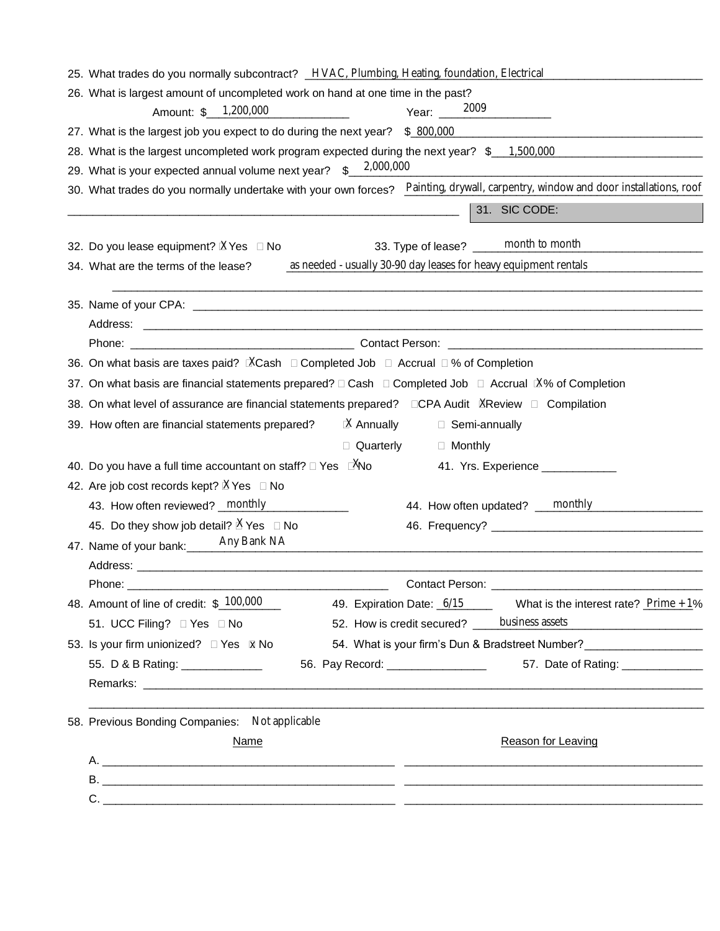| 25. What trades do you normally subcontract? HVAC, Plumbing, Heating, foundation, Electrical                                      |                                                                                  |  |  |  |  |
|-----------------------------------------------------------------------------------------------------------------------------------|----------------------------------------------------------------------------------|--|--|--|--|
| 26. What is largest amount of uncompleted work on hand at one time in the past?                                                   |                                                                                  |  |  |  |  |
| 2009<br>Amount: \$ 1,200,000<br>Year:                                                                                             |                                                                                  |  |  |  |  |
| 27. What is the largest job you expect to do during the next year? \$ 800,000                                                     |                                                                                  |  |  |  |  |
| 28. What is the largest uncompleted work program expected during the next year? \$ 1,500,000                                      |                                                                                  |  |  |  |  |
| 2,000,000<br>29. What is your expected annual volume next year? \$                                                                |                                                                                  |  |  |  |  |
| 30. What trades do you normally undertake with your own forces? Painting, drywall, carpentry, window and door installations, roof |                                                                                  |  |  |  |  |
|                                                                                                                                   | 31. SIC CODE:                                                                    |  |  |  |  |
| 33. Type of lease? _____ month to month<br>32. Do you lease equipment? $XYes \square No$                                          |                                                                                  |  |  |  |  |
| as needed - usually 30-90 day leases for heavy equipment rentals<br>34. What are the terms of the lease?                          |                                                                                  |  |  |  |  |
|                                                                                                                                   |                                                                                  |  |  |  |  |
|                                                                                                                                   |                                                                                  |  |  |  |  |
| Phone: Contact Person: Contact Person:                                                                                            |                                                                                  |  |  |  |  |
| 36. On what basis are taxes paid? <b>NACash □ Completed Job □ Accrual □ % of Completion</b>                                       |                                                                                  |  |  |  |  |
| 37. On what basis are financial statements prepared? □ Cash □ Completed Job □ Accrual IX% of Completion                           |                                                                                  |  |  |  |  |
| 38. On what level of assurance are financial statements prepared? □CPA Audit XReview □ Compilation                                |                                                                                  |  |  |  |  |
| $X$ Annually<br>39. How often are financial statements prepared?<br>□ Semi-annually                                               |                                                                                  |  |  |  |  |
| □ Quarterly<br>□ Monthly                                                                                                          |                                                                                  |  |  |  |  |
| 40. Do you have a full time accountant on staff? $\Box$ Yes $\Box$ You                                                            | 41. Yrs. Experience ___________                                                  |  |  |  |  |
| 42. Are job cost records kept? XYes □ No                                                                                          |                                                                                  |  |  |  |  |
| 43. How often reviewed? monthly<br>44. How often updated? <u>monthly</u>                                                          |                                                                                  |  |  |  |  |
| 45. Do they show job detail? $X$ Yes $\Box$ No                                                                                    |                                                                                  |  |  |  |  |
| Any Bank NA<br>47. Name of your bank:                                                                                             |                                                                                  |  |  |  |  |
|                                                                                                                                   |                                                                                  |  |  |  |  |
|                                                                                                                                   |                                                                                  |  |  |  |  |
| 48. Amount of line of credit: $\frac{$100,000}{ }$<br>49. Expiration Date: 6/15                                                   | What is the interest rate? $Prime + 1\%$                                         |  |  |  |  |
| 52. How is credit secured? _ business assets<br>51. UCC Filing? □ Yes □ No                                                        |                                                                                  |  |  |  |  |
| 53. Is your firm unionized? □ Yes <b>M</b> No                                                                                     | 54. What is your firm's Dun & Bradstreet Number? _______________________________ |  |  |  |  |
| 56. Pay Record: __________________<br>55. D & B Rating: ______________                                                            | 57. Date of Rating: ______________                                               |  |  |  |  |
|                                                                                                                                   |                                                                                  |  |  |  |  |
| 58. Previous Bonding Companies: Not applicable                                                                                    |                                                                                  |  |  |  |  |
| <b>Name</b>                                                                                                                       | Reason for Leaving                                                               |  |  |  |  |
|                                                                                                                                   |                                                                                  |  |  |  |  |
|                                                                                                                                   |                                                                                  |  |  |  |  |
|                                                                                                                                   |                                                                                  |  |  |  |  |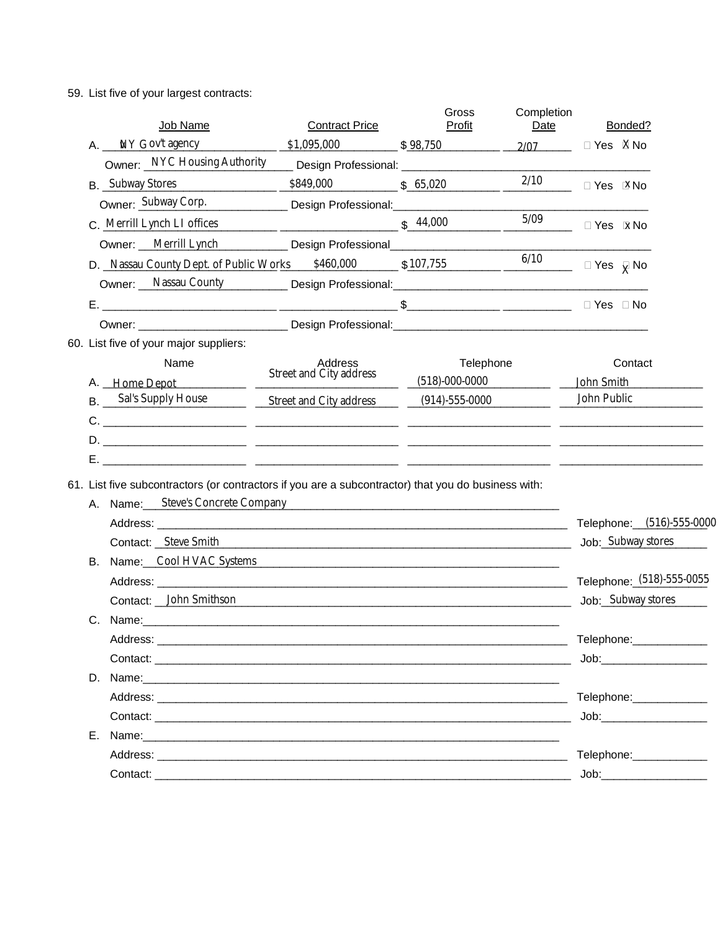59. List five of your largest contracts:

|  | Job Name                                                                                                                                                                                                                       | <b>Contract Price</b>                                                                                                                                                                                                         | Gross<br>Profit  | Completion<br>Date                                   |                         | Bonded?                                                                                                                                                                                                                        |  |
|--|--------------------------------------------------------------------------------------------------------------------------------------------------------------------------------------------------------------------------------|-------------------------------------------------------------------------------------------------------------------------------------------------------------------------------------------------------------------------------|------------------|------------------------------------------------------|-------------------------|--------------------------------------------------------------------------------------------------------------------------------------------------------------------------------------------------------------------------------|--|
|  | A. NY Gov't agency 51,095,000 \$98,750 2/07 Pes XNo                                                                                                                                                                            |                                                                                                                                                                                                                               |                  |                                                      |                         |                                                                                                                                                                                                                                |  |
|  | Owner: NYC Housing Authority Design Professional: _______________________________                                                                                                                                              |                                                                                                                                                                                                                               |                  |                                                      |                         |                                                                                                                                                                                                                                |  |
|  | <b>B.</b> Subway Stores                                                                                                                                                                                                        | \$849,000 \$65,020                                                                                                                                                                                                            |                  | $\frac{2/10}{\sqrt{2}}$ $\sqrt{2}$ Yes $\sqrt{2}$ No |                         |                                                                                                                                                                                                                                |  |
|  | Owner: Subway Corp. Design Professional: Communication Corp.                                                                                                                                                                   |                                                                                                                                                                                                                               |                  |                                                      |                         |                                                                                                                                                                                                                                |  |
|  | C. Merrill Lynch LI offices                                                                                                                                                                                                    |                                                                                                                                                                                                                               | \$44,000         | 5/09                                                 | $\Box$ Yes $\bar{x}$ No |                                                                                                                                                                                                                                |  |
|  | Owner: Merrill Lynch Design Professional                                                                                                                                                                                       |                                                                                                                                                                                                                               |                  |                                                      |                         |                                                                                                                                                                                                                                |  |
|  | D. Nassau County Dept. of Public Works \$460,000 \$107,755                                                                                                                                                                     |                                                                                                                                                                                                                               |                  | $\frac{6/10}{\sqrt{10}}$ $\Box$ Yes $\bar{X}$ No     |                         |                                                                                                                                                                                                                                |  |
|  | Owner: Nassau County Design Professional: National Professional Professional Professional Professional Professional Professional Professional Professional Professional Professional Professional Professional Professional Pr |                                                                                                                                                                                                                               |                  |                                                      |                         |                                                                                                                                                                                                                                |  |
|  |                                                                                                                                                                                                                                |                                                                                                                                                                                                                               |                  |                                                      |                         |                                                                                                                                                                                                                                |  |
|  |                                                                                                                                                                                                                                |                                                                                                                                                                                                                               |                  |                                                      |                         |                                                                                                                                                                                                                                |  |
|  | 60. List five of your major suppliers:                                                                                                                                                                                         |                                                                                                                                                                                                                               |                  |                                                      |                         |                                                                                                                                                                                                                                |  |
|  | Name                                                                                                                                                                                                                           | Address                                                                                                                                                                                                                       | Telephone        |                                                      |                         | Contact                                                                                                                                                                                                                        |  |
|  | A. Home Depot                                                                                                                                                                                                                  | Street and City address                                                                                                                                                                                                       | $(518)-000-0000$ |                                                      |                         | John Smith                                                                                                                                                                                                                     |  |
|  | B. Sal's Supply House Street and City address (914)-555-0000                                                                                                                                                                   |                                                                                                                                                                                                                               |                  |                                                      | John Public             |                                                                                                                                                                                                                                |  |
|  |                                                                                                                                                                                                                                |                                                                                                                                                                                                                               |                  |                                                      |                         |                                                                                                                                                                                                                                |  |
|  |                                                                                                                                                                                                                                |                                                                                                                                                                                                                               |                  |                                                      |                         |                                                                                                                                                                                                                                |  |
|  |                                                                                                                                                                                                                                |                                                                                                                                                                                                                               |                  |                                                      |                         |                                                                                                                                                                                                                                |  |
|  | 61. List five subcontractors (or contractors if you are a subcontractor) that you do business with:                                                                                                                            |                                                                                                                                                                                                                               |                  |                                                      |                         |                                                                                                                                                                                                                                |  |
|  | A. Name: Steve's Concrete Company                                                                                                                                                                                              |                                                                                                                                                                                                                               |                  |                                                      |                         |                                                                                                                                                                                                                                |  |
|  |                                                                                                                                                                                                                                |                                                                                                                                                                                                                               |                  |                                                      |                         | Telephone: (516)-555-0000                                                                                                                                                                                                      |  |
|  | Contact: <u>Steve Smith</u> Steve Contact: Steve Smith Steve 2014                                                                                                                                                              |                                                                                                                                                                                                                               |                  |                                                      |                         | Job: Subway stores                                                                                                                                                                                                             |  |
|  | B. Name: Cool HVAC Systems Contract Contract Contract Contract Contract Contract Contract Contract Contract Contract Contract Contract Contract Contract Contract Contract Contract Contract Contract Contract Contract Contra |                                                                                                                                                                                                                               |                  |                                                      |                         |                                                                                                                                                                                                                                |  |
|  |                                                                                                                                                                                                                                |                                                                                                                                                                                                                               |                  |                                                      |                         | Telephone: (518)-555-0055                                                                                                                                                                                                      |  |
|  | Contact: John Smithson                                                                                                                                                                                                         |                                                                                                                                                                                                                               |                  |                                                      |                         | Job: Subway stores                                                                                                                                                                                                             |  |
|  |                                                                                                                                                                                                                                |                                                                                                                                                                                                                               |                  |                                                      |                         |                                                                                                                                                                                                                                |  |
|  | Address:                                                                                                                                                                                                                       | the control of the control of the control of the control of the control of the control of the control of the control of the control of the control of the control of the control of the control of the control of the control |                  |                                                      |                         | Telephone: ______________                                                                                                                                                                                                      |  |
|  |                                                                                                                                                                                                                                |                                                                                                                                                                                                                               |                  |                                                      |                         |                                                                                                                                                                                                                                |  |
|  |                                                                                                                                                                                                                                |                                                                                                                                                                                                                               |                  |                                                      |                         |                                                                                                                                                                                                                                |  |
|  |                                                                                                                                                                                                                                |                                                                                                                                                                                                                               |                  |                                                      |                         | Telephone: ____________                                                                                                                                                                                                        |  |
|  |                                                                                                                                                                                                                                |                                                                                                                                                                                                                               |                  |                                                      |                         | Job: with the state of the state of the state of the state of the state of the state of the state of the state of the state of the state of the state of the state of the state of the state of the state of the state of the  |  |
|  | E. Name: 2008. 2009. 2009. 2009. 2010. 2010. 2010. 2010. 2010. 2010. 2010. 2010. 2010. 2010. 2010. 2010. 2010                                                                                                                  |                                                                                                                                                                                                                               |                  |                                                      |                         |                                                                                                                                                                                                                                |  |
|  | Address: the contract of the contract of the contract of the contract of the contract of the contract of the contract of the contract of the contract of the contract of the contract of the contract of the contract of the c |                                                                                                                                                                                                                               |                  |                                                      |                         | Telephone: _____________                                                                                                                                                                                                       |  |
|  | Contact: the contract of the contract of the contract of the contract of the contract of the contract of the contract of the contract of the contract of the contract of the contract of the contract of the contract of the c |                                                                                                                                                                                                                               |                  |                                                      |                         | Job: will be a series of the series of the series of the series of the series of the series of the series of the series of the series of the series of the series of the series of the series of the series of the series of t |  |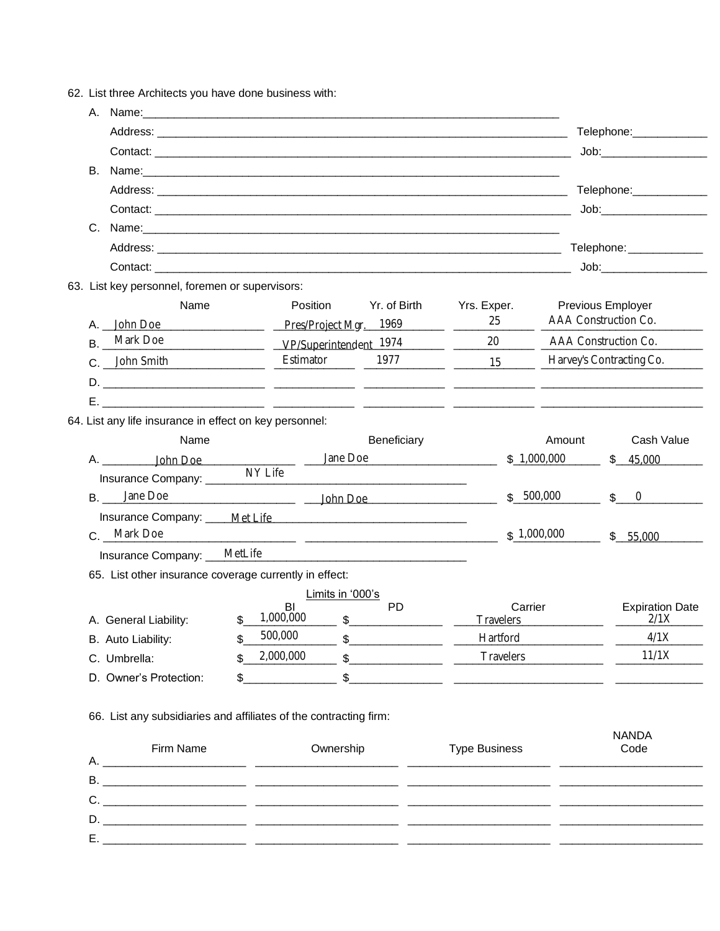62. List three Architects you have done business with:

|           |                                                                                                                                                                                                                                      |                                             |                                                                                                                                                                                                                                                                                                                                                                                                                                                                                                                       |                                                                                                                                                                                                                                                                                                                     |             | Telephone:______________                                                                                                                                                                                                       |
|-----------|--------------------------------------------------------------------------------------------------------------------------------------------------------------------------------------------------------------------------------------|---------------------------------------------|-----------------------------------------------------------------------------------------------------------------------------------------------------------------------------------------------------------------------------------------------------------------------------------------------------------------------------------------------------------------------------------------------------------------------------------------------------------------------------------------------------------------------|---------------------------------------------------------------------------------------------------------------------------------------------------------------------------------------------------------------------------------------------------------------------------------------------------------------------|-------------|--------------------------------------------------------------------------------------------------------------------------------------------------------------------------------------------------------------------------------|
|           |                                                                                                                                                                                                                                      |                                             |                                                                                                                                                                                                                                                                                                                                                                                                                                                                                                                       |                                                                                                                                                                                                                                                                                                                     |             |                                                                                                                                                                                                                                |
|           |                                                                                                                                                                                                                                      |                                             |                                                                                                                                                                                                                                                                                                                                                                                                                                                                                                                       |                                                                                                                                                                                                                                                                                                                     |             |                                                                                                                                                                                                                                |
|           |                                                                                                                                                                                                                                      |                                             |                                                                                                                                                                                                                                                                                                                                                                                                                                                                                                                       |                                                                                                                                                                                                                                                                                                                     |             | Telephone: Telephone                                                                                                                                                                                                           |
|           |                                                                                                                                                                                                                                      |                                             |                                                                                                                                                                                                                                                                                                                                                                                                                                                                                                                       |                                                                                                                                                                                                                                                                                                                     |             | Job: will be a series of the series of the series of the series of the series of the series of the series of the series of the series of the series of the series of the series of the series of the series of the series of t |
|           | C. Name: <u>contract and contract and contract and contract and contract and contract and contract and contract and contract of the contract of the contract of the contract of the contract of the contract of the contract of </u> |                                             |                                                                                                                                                                                                                                                                                                                                                                                                                                                                                                                       |                                                                                                                                                                                                                                                                                                                     |             |                                                                                                                                                                                                                                |
|           |                                                                                                                                                                                                                                      |                                             |                                                                                                                                                                                                                                                                                                                                                                                                                                                                                                                       |                                                                                                                                                                                                                                                                                                                     |             | Telephone: _____________                                                                                                                                                                                                       |
|           |                                                                                                                                                                                                                                      |                                             |                                                                                                                                                                                                                                                                                                                                                                                                                                                                                                                       |                                                                                                                                                                                                                                                                                                                     |             | Job: when the state of the state of the state of the state of the state of the state of the state of the state                                                                                                                 |
|           | 63. List key personnel, foremen or supervisors:                                                                                                                                                                                      |                                             |                                                                                                                                                                                                                                                                                                                                                                                                                                                                                                                       |                                                                                                                                                                                                                                                                                                                     |             |                                                                                                                                                                                                                                |
|           | Name                                                                                                                                                                                                                                 | Position                                    |                                                                                                                                                                                                                                                                                                                                                                                                                                                                                                                       | Yr. of Birth Yrs. Exper.                                                                                                                                                                                                                                                                                            |             | Previous Employer                                                                                                                                                                                                              |
|           | A. John Doe Pres/Project Mgr. 1969                                                                                                                                                                                                   |                                             |                                                                                                                                                                                                                                                                                                                                                                                                                                                                                                                       | 25                                                                                                                                                                                                                                                                                                                  |             | AAA Construction Co.                                                                                                                                                                                                           |
| <b>B.</b> | Mark Doe VP/Superintendent 1974                                                                                                                                                                                                      |                                             |                                                                                                                                                                                                                                                                                                                                                                                                                                                                                                                       | 20 000                                                                                                                                                                                                                                                                                                              |             | AAA Construction Co.                                                                                                                                                                                                           |
|           | John Smith                                                                                                                                                                                                                           | Estimator                                   | 1977                                                                                                                                                                                                                                                                                                                                                                                                                                                                                                                  | $\frac{15}{2}$ $\frac{15}{2}$                                                                                                                                                                                                                                                                                       |             | Harvey's Contracting Co.                                                                                                                                                                                                       |
|           |                                                                                                                                                                                                                                      |                                             |                                                                                                                                                                                                                                                                                                                                                                                                                                                                                                                       |                                                                                                                                                                                                                                                                                                                     |             |                                                                                                                                                                                                                                |
|           |                                                                                                                                                                                                                                      |                                             |                                                                                                                                                                                                                                                                                                                                                                                                                                                                                                                       |                                                                                                                                                                                                                                                                                                                     |             |                                                                                                                                                                                                                                |
|           | 64. List any life insurance in effect on key personnel:                                                                                                                                                                              |                                             |                                                                                                                                                                                                                                                                                                                                                                                                                                                                                                                       |                                                                                                                                                                                                                                                                                                                     |             |                                                                                                                                                                                                                                |
|           | Name                                                                                                                                                                                                                                 |                                             | Beneficiary                                                                                                                                                                                                                                                                                                                                                                                                                                                                                                           |                                                                                                                                                                                                                                                                                                                     | Amount      | Cash Value                                                                                                                                                                                                                     |
|           |                                                                                                                                                                                                                                      | Jane Doe                                    |                                                                                                                                                                                                                                                                                                                                                                                                                                                                                                                       |                                                                                                                                                                                                                                                                                                                     | \$1,000,000 | \$ 45,000                                                                                                                                                                                                                      |
|           |                                                                                                                                                                                                                                      | NY Life                                     |                                                                                                                                                                                                                                                                                                                                                                                                                                                                                                                       |                                                                                                                                                                                                                                                                                                                     |             |                                                                                                                                                                                                                                |
|           |                                                                                                                                                                                                                                      |                                             |                                                                                                                                                                                                                                                                                                                                                                                                                                                                                                                       |                                                                                                                                                                                                                                                                                                                     | \$500,000   | $\updownarrow$ 0                                                                                                                                                                                                               |
|           |                                                                                                                                                                                                                                      |                                             |                                                                                                                                                                                                                                                                                                                                                                                                                                                                                                                       |                                                                                                                                                                                                                                                                                                                     |             |                                                                                                                                                                                                                                |
|           | C. Mark Doe                                                                                                                                                                                                                          |                                             |                                                                                                                                                                                                                                                                                                                                                                                                                                                                                                                       |                                                                                                                                                                                                                                                                                                                     | \$1,000,000 | \$5,000                                                                                                                                                                                                                        |
|           | Insurance Company: MetLife MetLife                                                                                                                                                                                                   |                                             |                                                                                                                                                                                                                                                                                                                                                                                                                                                                                                                       |                                                                                                                                                                                                                                                                                                                     |             |                                                                                                                                                                                                                                |
|           | 65. List other insurance coverage currently in effect:                                                                                                                                                                               |                                             |                                                                                                                                                                                                                                                                                                                                                                                                                                                                                                                       |                                                                                                                                                                                                                                                                                                                     |             |                                                                                                                                                                                                                                |
|           |                                                                                                                                                                                                                                      | Limits in '000's                            |                                                                                                                                                                                                                                                                                                                                                                                                                                                                                                                       |                                                                                                                                                                                                                                                                                                                     |             |                                                                                                                                                                                                                                |
|           |                                                                                                                                                                                                                                      | <b>BI</b>                                   | <b>PD</b>                                                                                                                                                                                                                                                                                                                                                                                                                                                                                                             | Carrier                                                                                                                                                                                                                                                                                                             |             | <b>Expiration Date</b>                                                                                                                                                                                                         |
|           | A. General Liability:                                                                                                                                                                                                                | \$<br>1,000,000<br>$\overline{\phantom{a}}$ |                                                                                                                                                                                                                                                                                                                                                                                                                                                                                                                       | <b>Travelers</b>                                                                                                                                                                                                                                                                                                    |             | 2/1X                                                                                                                                                                                                                           |
|           | B. Auto Liability:                                                                                                                                                                                                                   | \$<br>500,000<br>\$                         |                                                                                                                                                                                                                                                                                                                                                                                                                                                                                                                       | Hartford                                                                                                                                                                                                                                                                                                            |             | 4/1X                                                                                                                                                                                                                           |
|           | C. Umbrella:                                                                                                                                                                                                                         | 2,000,000                                   | $\begin{array}{c} \n\text{\textsterling}\! \text{\texttt{S}} \text{\texttt{S}} \text{\texttt{S}} \text{\texttt{S}} \text{\texttt{S}} \text{\texttt{S}} \text{\texttt{S}} \text{\texttt{S}} \text{\texttt{S}} \text{\texttt{S}} \text{\texttt{S}} \text{\texttt{S}} \text{\texttt{S}} \text{\texttt{S}} \text{\texttt{S}} \text{\texttt{S}} \text{\texttt{S}} \text{\texttt{S}} \text{\texttt{S}} \text{\texttt{S}} \text{\texttt{S}} \text{\texttt{S}} \text{\texttt{S}} \text{\texttt{S}} \text{\texttt{S}} \text{\$ | <b>Travelers</b>                                                                                                                                                                                                                                                                                                    |             | 11/1X                                                                                                                                                                                                                          |
|           | D. Owner's Protection:                                                                                                                                                                                                               | \$                                          |                                                                                                                                                                                                                                                                                                                                                                                                                                                                                                                       | $\frac{1}{2}$ $\frac{1}{2}$ $\frac{1}{2}$ $\frac{1}{2}$ $\frac{1}{2}$ $\frac{1}{2}$ $\frac{1}{2}$ $\frac{1}{2}$ $\frac{1}{2}$ $\frac{1}{2}$ $\frac{1}{2}$ $\frac{1}{2}$ $\frac{1}{2}$ $\frac{1}{2}$ $\frac{1}{2}$ $\frac{1}{2}$ $\frac{1}{2}$ $\frac{1}{2}$ $\frac{1}{2}$ $\frac{1}{2}$ $\frac{1}{2}$ $\frac{1}{2}$ |             |                                                                                                                                                                                                                                |
|           |                                                                                                                                                                                                                                      |                                             |                                                                                                                                                                                                                                                                                                                                                                                                                                                                                                                       |                                                                                                                                                                                                                                                                                                                     |             |                                                                                                                                                                                                                                |
|           | 66. List any subsidiaries and affiliates of the contracting firm:                                                                                                                                                                    |                                             |                                                                                                                                                                                                                                                                                                                                                                                                                                                                                                                       |                                                                                                                                                                                                                                                                                                                     |             |                                                                                                                                                                                                                                |
|           | Firm Name                                                                                                                                                                                                                            | Ownership                                   |                                                                                                                                                                                                                                                                                                                                                                                                                                                                                                                       | <b>Type Business</b>                                                                                                                                                                                                                                                                                                |             | <b>NANDA</b><br>Code                                                                                                                                                                                                           |
|           |                                                                                                                                                                                                                                      |                                             |                                                                                                                                                                                                                                                                                                                                                                                                                                                                                                                       |                                                                                                                                                                                                                                                                                                                     |             |                                                                                                                                                                                                                                |
|           |                                                                                                                                                                                                                                      |                                             |                                                                                                                                                                                                                                                                                                                                                                                                                                                                                                                       |                                                                                                                                                                                                                                                                                                                     |             |                                                                                                                                                                                                                                |
|           |                                                                                                                                                                                                                                      |                                             |                                                                                                                                                                                                                                                                                                                                                                                                                                                                                                                       |                                                                                                                                                                                                                                                                                                                     |             |                                                                                                                                                                                                                                |
|           |                                                                                                                                                                                                                                      |                                             |                                                                                                                                                                                                                                                                                                                                                                                                                                                                                                                       |                                                                                                                                                                                                                                                                                                                     |             |                                                                                                                                                                                                                                |
| Е.,       | <u> 2000 - 2000 - 2000 - 2000 - 2000 - 2000 - 2000 - 2000 - 2000 - 2000 - 2000 - 2000 - 2000 - 2000 - 2000 - 200</u>                                                                                                                 |                                             |                                                                                                                                                                                                                                                                                                                                                                                                                                                                                                                       |                                                                                                                                                                                                                                                                                                                     |             |                                                                                                                                                                                                                                |